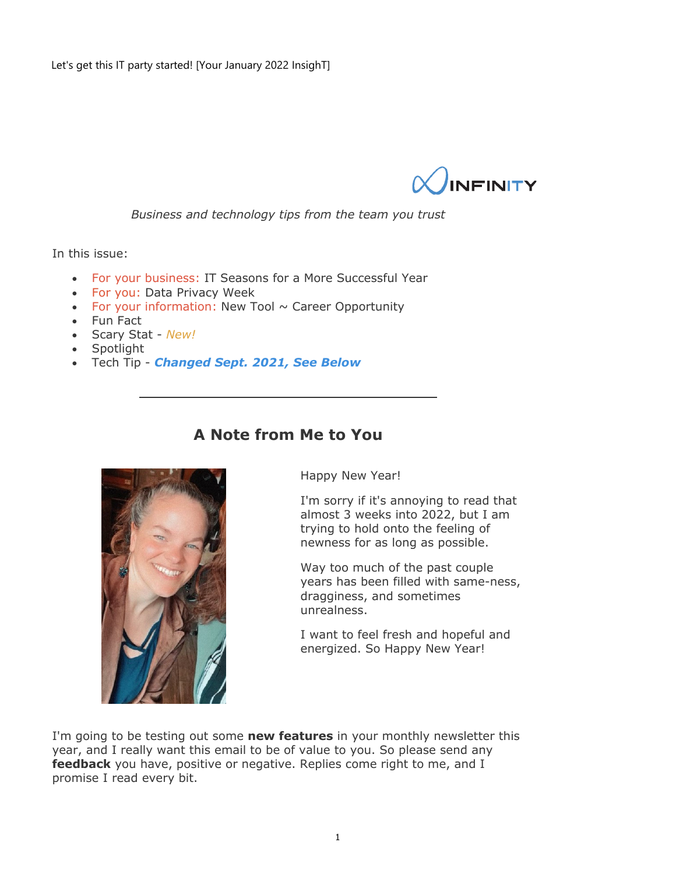

*Business and technology tips from the team you trust*

In this issue:

- For your business: IT Seasons for a More Successful Year
- For you: Data Privacy Week
- For your information: New Tool  $\sim$  Career Opportunity
- Fun Fact
- Scary Stat *New!*
- Spotlight
- Tech Tip *Changed Sept. 2021, See Below*

## **A Note from Me to You**



Happy New Year!

I'm sorry if it's annoying to read that almost 3 weeks into 2022, but I am trying to hold onto the feeling of newness for as long as possible.

Way too much of the past couple years has been filled with same-ness, dragginess, and sometimes unrealness.

I want to feel fresh and hopeful and energized. So Happy New Year!

I'm going to be testing out some **new features** in your monthly newsletter this year, and I really want this email to be of value to you. So please send any **feedback** you have, positive or negative. Replies come right to me, and I promise I read every bit.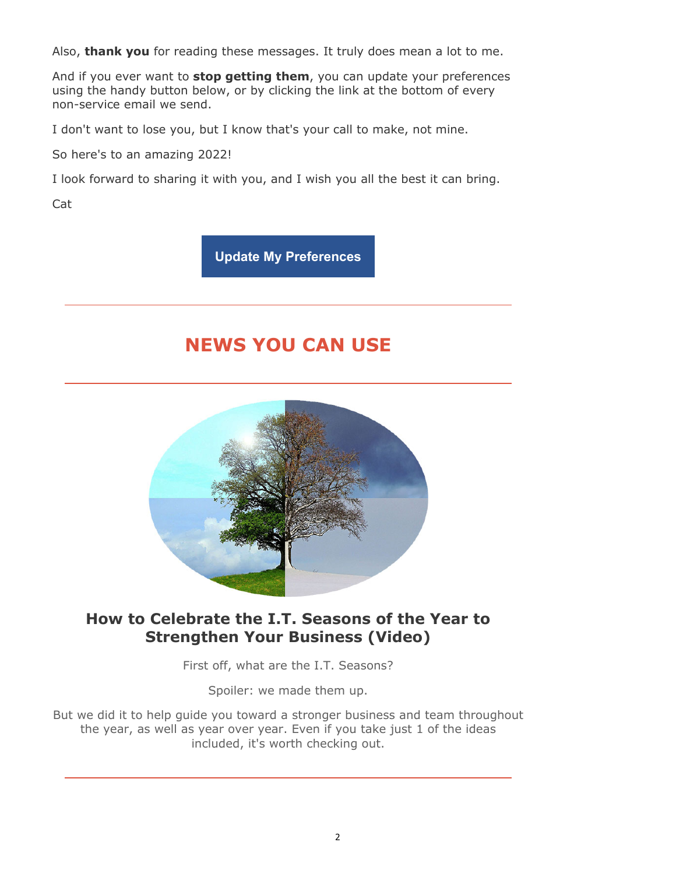Also, **thank you** for reading these messages. It truly does mean a lot to me.

And if you ever want to **stop getting them**, you can update your preferences using the handy button below, or by clicking the link at the bottom of every non-service email we send.

I don't want to lose you, but I know that's your call to make, not mine.

So here's to an amazing 2022!

I look forward to sharing it with you, and I wish you all the best it can bring.

Cat

**Update My Preferences**

# **NEWS YOU CAN USE**



## **How to Celebrate the I.T. Seasons of the Year to Strengthen Your Business (Video)**

First off, what are the I.T. Seasons?

Spoiler: we made them up.

But we did it to help guide you toward a stronger business and team throughout the year, as well as year over year. Even if you take just 1 of the ideas included, it's worth checking out.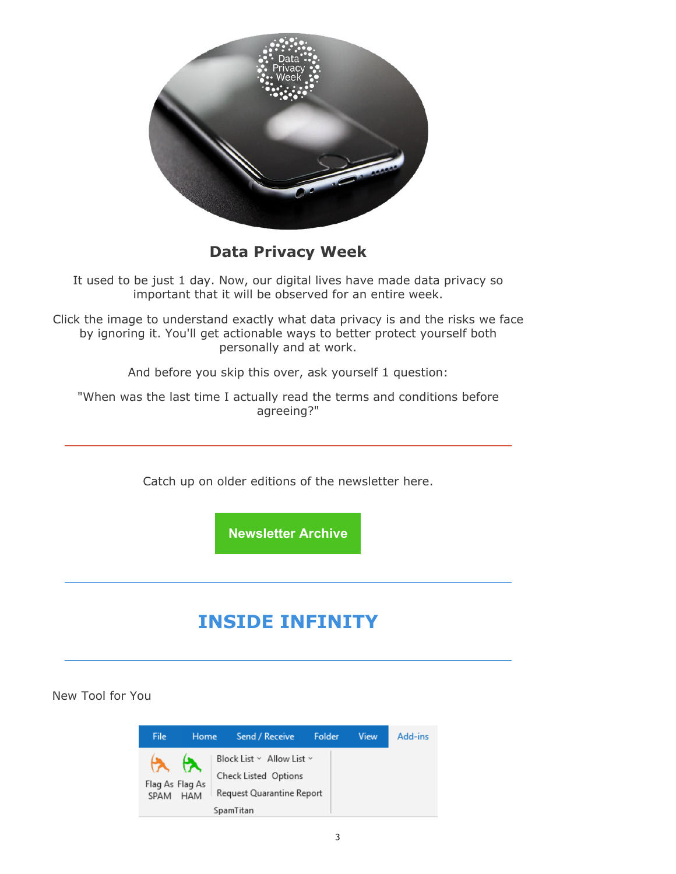

**Data Privacy Week** 

It used to be just 1 day. Now, our digital lives have made data privacy so important that it will be observed for an entire week.

Click the image to understand exactly what data privacy is and the risks we face by ignoring it. You'll get actionable ways to better protect yourself both personally and at work.

And before you skip this over, ask yourself 1 question:

"When was the last time I actually read the terms and conditions before agreeing?"

Catch up on older editions of the newsletter here.

**Newsletter Archive**

# **INSIDE INFINITY**

New Tool for You

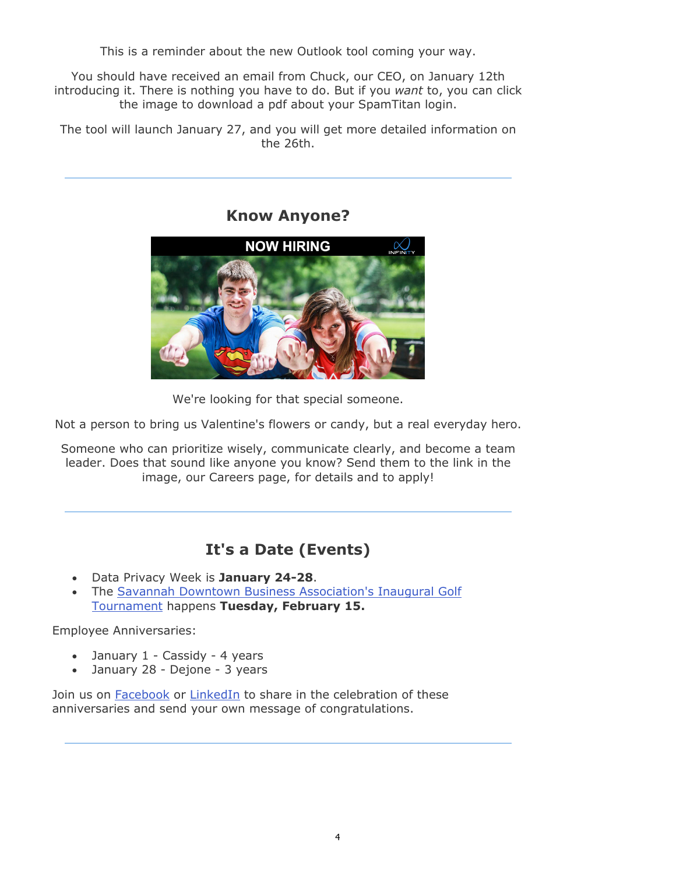This is a reminder about the new Outlook tool coming your way.

You should have received an email from Chuck, our CEO, on January 12th introducing it. There is nothing you have to do. But if you *want* to, you can click the image to download a pdf about your SpamTitan login.

The tool will launch January 27, and you will get more detailed information on the 26th.

### **Know Anyone?**



We're looking for that special someone.

Not a person to bring us Valentine's flowers or candy, but a real everyday hero.

Someone who can prioritize wisely, communicate clearly, and become a team leader. Does that sound like anyone you know? Send them to the link in the image, our Careers page, for details and to apply!

## **It's a Date (Events)**

- Data Privacy Week is **January 24-28**.
- The Savannah Downtown Business Association's Inaugural Golf Tournament happens **Tuesday, February 15.**

Employee Anniversaries:

- January 1 Cassidy 4 years
- January 28 Dejone 3 years

Join us on Facebook or LinkedIn to share in the celebration of these anniversaries and send your own message of congratulations.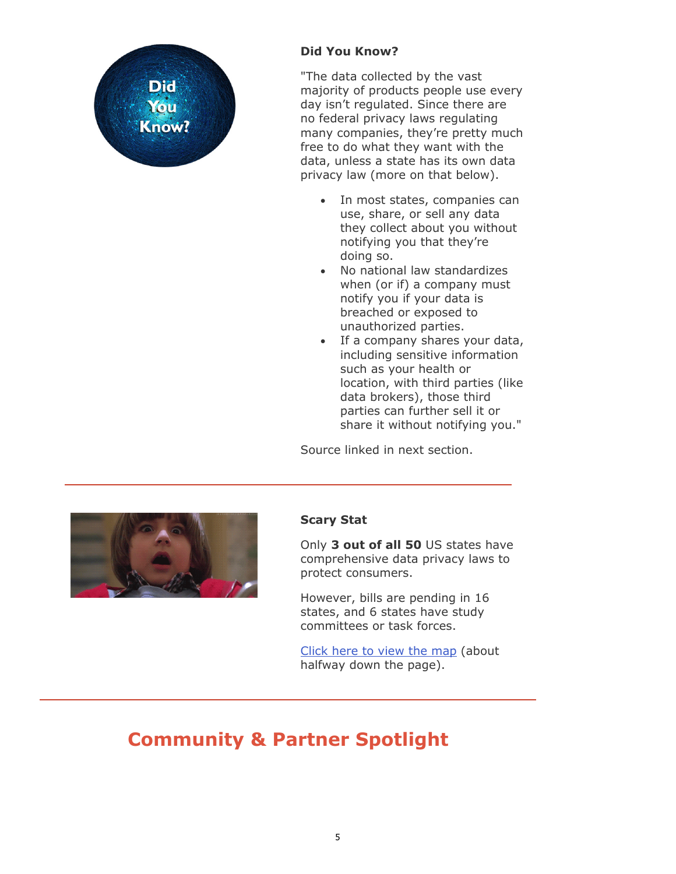

### **Did You Know?**

"The data collected by the vast majority of products people use every day isn't regulated. Since there are no federal privacy laws regulating many companies, they're pretty much free to do what they want with the data, unless a state has its own data privacy law (more on that below).

- In most states, companies can use, share, or sell any data they collect about you without notifying you that they're doing so.
- No national law standardizes when (or if) a company must notify you if your data is breached or exposed to unauthorized parties.
- If a company shares your data, including sensitive information such as your health or location, with third parties (like data brokers), those third parties can further sell it or share it without notifying you."

Source linked in next section.



#### **Scary Stat**

Only **3 out of all 50** US states have comprehensive data privacy laws to protect consumers.

However, bills are pending in 16 states, and 6 states have study committees or task forces.

[Click here to](https://www.nytimes.com/wirecutter/blog/state-of-privacy-laws-in-us/) view the map (about halfway down the page).

# **Community & Partner Spotlight**